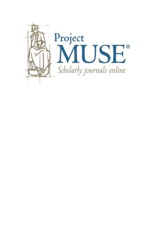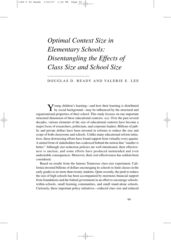*Optimal Context Size in Elementary Schools: Disentangling the Effects of Class Size and School Size*

# DOUGLAS D. READY AND VALERIE E. LEE

Young children's learning—and how their learning is distributed by social background—may be influenced by the structural and organizational properties of their school. This study focuses on one important structural dimension of these educational contexts: *size*. Over the past several decades, various elements of the size of educational contexts have become a major focus of researchers, politicians, and corporate leaders. Billions of public and private dollars have been invested in reforms to reduce the size and scope of both classrooms and schools. Unlike many educational reform initiatives, these downsizing efforts have found support from virtually every quarter. A united front of stakeholders has coalesced behind the notion that "smaller is better." Although size-reduction policies are well intentioned, their effectiveness is unclear, and some efforts have produced unintended and even undesirable consequences. Moreover, their cost-effectiveness has seldom been considered.

Based on results from the famous Tennessee class-size experiment, California invested billions of dollars encouraging its schools to limit classes in the early grades to no more than twenty students. Quite recently, the push to reduce the size of high schools has been accompanied by enormous financial support from foundations and the federal government in an effort to encourage schoolswithin-schools, small learning communities, and small stand-alone schools. Curiously, these important policy initiatives—reduced class size and reduced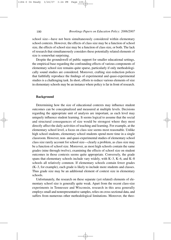school size—have not been simultaneously considered within elementary school contexts. However, the effects of class size may be a function of school size, the effects of school size may be a function of class size, or both. The lack of research that simultaneously considers these potentially related elements of size is somewhat surprising.

Despite the groundswell of public support for smaller educational settings, the empirical base regarding the confounding effects of various components of elementary school size remains quite sparse, particularly if only methodologically sound studies are considered. Moreover, crafting size-reduction polices that faithfully reproduce the findings of experimental and quasi-experimental studies is a challenging task. In short, efforts to reduce various elements of size in elementary schools may be an instance where policy is far in front of research.

## **Background**

Determining how the size of educational contexts may influence student outcomes can be conceptualized and measured at multiple levels. Decisions regarding the appropriate unit of analysis are important, as each level may uniquely influence student learning. It seems logical to assume that the social and structural consequences of size would be strongest where they most directly affect the daily activities of teaching and learning. For example, at the elementary school level, a focus on class size seems most reasonable. Unlike high school students, elementary school students spend more time in a single classroom. However, non- and quasi-experimental studies of elementary school class size rarely account for school size—clearly a problem, as class size may be a function of school size. Moreover, as most high schools contain the same grades (nine through twelve), examining the effects of school size on student outcomes in those contexts seems quite appropriate. Conversely, the grade spans that elementary schools include vary widely, with K–3, K–6, and K–8 schools all relatively common. If elementary schools contain fewer grades (K–3, for example), each grade is likely to include more students and classes. Thus grade size may be an additional element of context size in elementary schools.

Unfortunately, the research on these separate (yet related) elements of elementary school size is generally quite weak. Apart from the recent class-size experiments in Tennessee and Wisconsin, research in this area generally employs small and nonrepresentative samples, relies on cross-sectional data, and suffers from numerous other methodological limitations. Moreover, the theo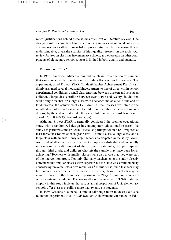retical justifications behind these studies often rest on literature reviews. One strange result is a circular chain, wherein literature reviews often cite other literature reviews rather than solid empirical studies. In one sense this is understandable, given the scarcity of high-quality research on the topic. Our review focuses on class size in elementary schools, as the research on other components of elementary school context is limited in both quality and quantity.

# *Research on Class Size*

In 1985 Tennessee initiated a longitudinal class-size reduction experiment that would serve as the foundation for similar efforts across the country.<sup>1</sup> The experiment, titled Project STAR (Student/Teacher Achievement Ratio), randomly assigned several thousand kindergartners to one of three within-school experimental conditions: a small class enrolling between thirteen and seventeen children, a large class enrolling between twenty-two and twenty-six children with a single teacher, or a large class with a teacher and an aide. At the end of kindergarten, the achievement of children in small classes was almost one month ahead of the achievement of children in the other two classroom conditions; by the end of first grade, the same children were almost two months ahead (ES =  $0.2 - 0.25$  standard deviation).

Although Project STAR is generally considered the premier educational study with a randomized design in contemporary educational research, the study has garnered some criticism.<sup>2</sup> Because participation in STAR required at least three classrooms at each grade level—a small class, a large class, and a large class with an aide—only larger schools participated in the study. Moreover, student attrition from the treatment group was substantial and potentially nonrandom: only 48 percent of the original treatment group participated through third grade, and children who left the sample may have been lower achieving.3 Teachers with smaller classes were also aware that they were part of the intervention group. Not only did many teachers enter the study already convinced that smaller classes were superior, but the state was simultaneously considering universal class-size reductions.4 In this sense, such teachers may have induced experimenter expectancies.<sup>5</sup> However, class-size effects may be *under*estimated in the Tennessee experiment, as "large" classrooms enrolled only twenty-six students. The nationally representative ECLS-K data we employ in this study indicate that a substantial proportion of U.S. elementary schools offer classes enrolling more than twenty-six students.

In 1996 Wisconsin launched a similar (although more modest) class-size reduction experiment titled SAGE (Student Achievement Guarantee in Edu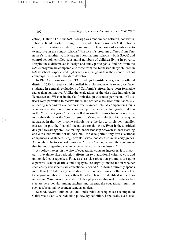cation). Unlike STAR, the SAGE design was randomized between, not within, schools. Kindergarten through third-grade classrooms in SAGE schools enrolled only fifteen students, compared to classrooms of twenty-one to twenty-five in the control schools.<sup>6</sup> Wisconsin's program differed from Tennessee's in another way: it targeted low-income schools—both SAGE and control schools enrolled substantial numbers of children living in poverty. Despite these differences in design and study participants, findings from the SAGE program are comparable to those from the Tennessee study: children in SAGE schools experienced higher achievement gains than their control school counterparts ( $ES = 0.2$  standard deviation).<sup>7</sup>

In 1996 California used the STAR findings to justify a program that offered districts \$650 for every child enrolled in a classroom with twenty or fewer students. In general, evaluations of California's efforts have been formative rather than summative. Unlike the evaluations of the class-size initiatives in Tennessee and Wisconsin, the California design was not experimental. All districts were permitted to receive funds and reduce class sizes simultaneously, rendering meaningful evaluation virtually impossible, as comparison groups were not available. For example, on average, by the end of third grade, children in the "treatment group" were enrolled in smaller classes for only one year more than those in the "control group." Moreover, selection bias was quite apparent, in that low-income schools were the last to implement smaller classes, despite the financial incentives for doing so. Even if these critical design flaws are ignored, estimating the relationship between student learning and class size would not be possible—the data permit only cross-sectional comparisons, as students' cognitive skills were not assessed in the early grades. Although evaluators report class-size "effects," we agree with their judgment that findings regarding student achievement are "inconclusive."8

As policy interest in the size of educational contexts increases, it is important to evaluate size-reduction efforts on two additional criteria: cost and unintended consequences. First, as class-size reduction programs are quite expensive, school districts and taxpayers are (rightly) interested in whether such costly investments are educationally sound.<sup>9</sup> California currently spends more than \$1.6 billion a year on its efforts to reduce class enrollments below twenty—a number still larger than the ideal class size identified in the Tennessee and Wisconsin experiments. Although policies that seek to reduce class size are very popular among teachers and parents, the educational return on such a substantial investment remains unclear.

Second, several unintended and undesirable consequences accompanied California's class-size-reduction policy. By definition, large-scale, class-size-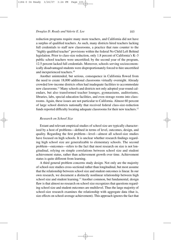reduction programs require many more teachers, and California did not have a surplus of qualified teachers. As such, many districts hired teachers lacking full credentials to staff new classrooms, a practice that runs counter to the "highly qualified teacher" provisions within the federal No Child Left Behind legislation. Prior to class-size reduction, only 1.8 percent of California's K–3 public school teachers were uncertified; by the second year of the program, 12.5 percent lacked full credentials. Moreover, schools serving socioeconomically disadvantaged students were disproportionately forced to hire uncertified and inexperienced teachers.<sup>10</sup>

Another unintended, but serious, consequence in California flowed from the need to create 18,000 additional classrooms virtually overnight. Already crowded low-income districts often had inadequate facilities to accommodate new classrooms.11 Many schools and districts not only adopted year-round calendars, but also transformed teacher lounges, gymnasiums, auditoriums, libraries, labs, special education facilities, and even storage rooms into classrooms. Again, these issues are not particular to California. Almost 60 percent of large school districts nationally that received federal class-size-reduction funds reported difficulty locating adequate classrooms for their new teachers.<sup>12</sup>

## *Research on School Size*

Extant and relevant empirical studies of school size are typically characterized by a host of problems—defined in terms of level, outcomes, design, and quality. Regarding the first problem—level—almost all school-size studies have focused on high schools. It is unclear whether research findings regarding high school size are generalizable to elementary schools. The second problem—outcomes—refers to the fact that most research on size is not longitudinal, relying on simple correlations between school size and student achievement status, rather than achievement growth over time. Achievement status is quite different from learning.

A third general problem concerns study design. Not only are the majority of school-size studies cross-sectional rather than longitudinal, but most assume that the relationship between school size and student outcomes is linear. In our own research, we document a distinctly nonlinear relationship between high school size and student learning.<sup>13</sup> Another common, but fundamental, design flaw is that almost no research on school size recognizes that questions regarding school size and student outcomes are multilevel. Thus the large majority of school-size research examines the relationship with aggregate data (that is, size effects on school-average achievement). This approach ignores the fact that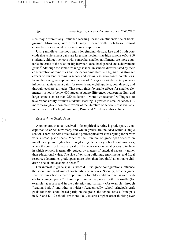size may differentially influence learning, based on students' social background. Moreover, size effects may interact with such basic school characteristics as racial or social class composition.14

Using multilevel methods and a longitudinal design, Lee and Smith conclude that achievement gains are largest in medium-size high schools (600–900 students), although schools with somewhat smaller enrollments are more equitable, in terms of the relationship between social background and achievement gains.15 Although the same size range is ideal in schools differentiated by their concentration of minorities and socioeconomic status (SES), size has stronger effects on student learning in schools educating less-advantaged populations. In another study, we explore how the size of Chicago's K–8 elementary schools influences achievement gains for seventh and eighth graders, both directly and through teachers' attitudes. That study finds favorable effects for smaller elementary schools (below 400 students) but no differences between medium and large schools (more than 750 students).16 Moreover, teachers' willingness to take responsibility for their students' learning is greater in smaller schools. A more thorough and complete review of the literature on school size is available in the paper by Darling-Hammond, Ross, and Milliken in this volume.

## *Research on Grade Span*

Another area that has received little empirical scrutiny is grade span, a concept that describes how many and which grades are included within a single school. There are both structural and philosophical reasons arguing for narrow versus broad grade spans. Much of the literature on grade span focuses on middle and junior high schools, neglecting elementary school configurations, where the construct is equally valid. The decision about what grades to include in which schools is generally guided by matters of practical necessity rather than educational value. The size of existing buildings, enrollments, and fiscal resources determines grade spans more often than thoughtful attention to children's social and academic needs.<sup>17</sup>

Our interest in grade span is twofold. First, grade configurations influence the social and academic characteristics of schools. Socially, broader grade spans within schools create opportunities for older children to act as role models for younger peers.18 These opportunities may occur both informally (for example, at recess and in the cafeteria) and formally (for example, through "reading buddy" and other activities). Academically, school principals craft goals for their school based partly on the grades the school serves. Principals in K–8 and K–12 schools are more likely to stress higher-order thinking over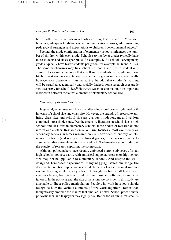basic skills than principals in schools enrolling lower grades.19 Moreover, broader grade spans facilitate teacher communication across grades, matching pedagogical strategies and expectations to children's developmental stages.20

Second, the grade configuration of elementary schools influences the number of children within each grade. Schools serving fewer grades typically have more students and classes per grade (for example, K–3); schools serving many grades typically have fewer students per grade (for example, K–8 and K–12). The same mechanisms may link school size and grade size to student outcomes. For example, schools that enroll more students per grade are more likely to sort students into tailored academic programs or even academically homogeneous classrooms, thus increasing the odds that children's learning will be stratified academically and socially. Indeed, some research uses grade size as a proxy for school size.<sup>21</sup> However, we choose to maintain an important distinction between these two elements of elementary school size.

## *Summary of Research on Size*

In general, extant research favors smaller educational contexts, defined both in terms of school size and class size. However, the strands of research examining class size and school size are curiously independent and seldom combined into a single study. Despite extensive literature on school size in high schools and class size in elementary schools, these bodies of research do not inform one another. Research on *school* size focuses almost exclusively on secondary schools, whereas research on *class* size focuses entirely on elementary schools (and really at the lowest grades). It seems reasonable to assume that these size elements are related in U.S. elementary schools, despite the paucity of research exploring the connection.

Although policymakers have recently embraced a strong advocacy of small high schools (not necessarily with empirical support), research on high school size may not be applicable to elementary schools. And despite the welldesigned Tennessee experiment, many nagging issues challenge the documented relationship between several elements of organizational size and student learning in elementary school. Although teachers at all levels favor smaller classes, basic issues of educational cost and efficiency cannot be ignored. In the policy arena, the size dimensions we consider in this study are amenable to direct policy manipulation. People who work in schools should recognize how the various elements of size work together—rather than thoughtlessly embrace the mantra that smaller is better. School practitioners, policymakers, and taxpayers may rightly ask, Better for whom? How small is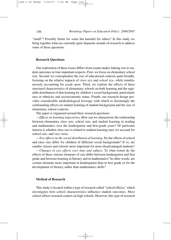"small"? Possibly better for some but harmful for others? In this study we bring together what are currently quite disparate strands of research to address some of these questions.

## **Research Questions**

Our exploration of these issues differs from extant studies linking size to student outcomes in four important respects. First, we focus on elementary school size. Second, we conceptualize the size of educational contexts quite broadly, focusing on the relative impacts of *class size* and *school size,* while simultaneously accounting for *grade span*. Third, we explore the effects of these structural characteristics of elementary schools on both learning and the equitable distribution of that learning by children's social background, particularly race or ethnicity and socioeconomic status. Fourth, our research design provides considerable methodological leverage with which to disentangle the confounding effects on student learning of student background and the size of elementary school contexts.

The paper is organized around three research questions:

—*Effects on learning trajectories.* How can we characterize the relationship between elementary class size, school size, and student learning in reading and mathematics over the kindergarten and first-grade years? Of particular interest is whether class size is related to student learning once we account for school size, and vice versa.

—*Size effects on the social distribution of learning.* Do the effects of school and class size differ for children of different social backgrounds? If so, are smaller classes and schools more important for more disadvantaged students?

—*Changes in size effects over time and subject.* To what extent do the effects of these various elements of size differ between kindergarten and first grade and between learning in literacy and in mathematics? In other words, are certain elements more important in kindergarten than in first grade or for the development of literacy rather than mathematics skills?

# **Method of Research**

This study is located within a type of research called "school effects," which investigates how school characteristics influence student outcomes. Most school-effects research centers on high schools. However, this type of research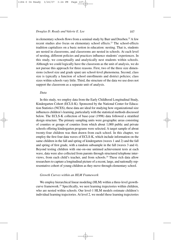in elementary schools flows from a seminal study by Barr and Dreeben.<sup>22</sup> A few recent studies also focus on elementary school effects.<sup>23</sup> The school-effects tradition capitalizes on a basic notion in education: nesting. That is, students are nested in classrooms, and classrooms are nested in schools. At each level of nesting, different policies and practices influence students' experiences. In this study, we conceptually and analytically nest students within schools. Although we could logically have the classroom as the unit of analysis, we do not pursue this approach for three reasons. First, two of the three size dimensions (school size and grade span) are school-level phenomena. Second, class size is typically a function of school enrollments and district policies; class sizes within schools vary little. Third, the structure of the data we use does not support the classroom as a separate unit of analysis.

### *Data*

In this study, we employ data from the Early Childhood Longitudinal Study, Kindergarten Cohort (ECLS-K). Sponsored by the National Center for Education Statistics (NCES), these data are ideal for studying how organizational size influences children's learning, particularly with the statistical methods discussed below. The ECLS-K collection of base-year (1998) data followed a stratified design structure. The primary sampling units were geographic areas consisting of counties or groups of counties from which about 1,000 public and private schools offering kindergarten programs were selected. A target sample of about twenty-four children was then drawn from each school. In this chapter, we employ the first four data waves of ECLS-K, which include information on the same children in the fall and spring of kindergarten (waves 1 and 2) and the fall and spring of first grade, with a random subsample in the fall (waves 3 and 4). Beyond testing children with one-on-one untimed achievement tests at each wave, data were also collected from parents through structured telephone interviews, from each child's teacher, and from schools.<sup>24</sup> These rich data allow researchers to capture a longitudinal picture of a recent, large, and nationally representative cohort of young children as they move through elementary school.

## *Growth Curves within an HLM Framework*

We employ hierarchical linear modeling (HLM) within a three-level growthcurve framework.<sup>25</sup> Specifically, we nest learning trajectories within children, who are nested within schools. Our level-1 HLM models estimate children's individual learning trajectories. At level 2, we model these learning trajectories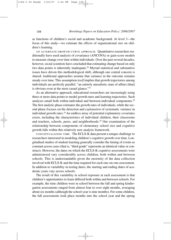as functions of children's social and academic background. At level 3—the focus of this study—we estimate the effects of organizational size on children's learning.

an alternate growth-curve approach. Quantitative researchers traditionally have used analysis of covariance (ANCOVA) or gain-score models to measure change over time within individuals. Over the past several decades, however, social scientists have concluded that estimating change based on only two data points is inherently inadequate.<sup>26</sup> Myriad statistical and substantive issues have driven this methodological shift, although one central concern is shared: traditional approaches assume that variance in the outcome remains steady over time. This assumption *itself* implies that growth trajectories among individuals are perfectly parallel, "an entirely unrealistic state of affairs [that] is obvious even at the most casual glance."<sup>27</sup>

As an alternative approach, educational researchers are increasingly using three or more data points to model growth rates and learning trajectories. Such analyses entail both within-individual and between-individual components.<sup>28</sup> The first analytic phase estimates the growth rates of individuals, while the second phase focuses on the detection and *explanation* of systematic variance in individual growth rates.29 An endless array of potential explanatory covariates exists, including the characteristics of individual children, their classrooms and teachers, schools, peers, and neighborhoods.30 Our examination of the relationship between components of elementary school size and cognitive growth falls within this relatively new analytic framework.

conceptualizing time. The ECLS-K data present a unique challenge to researchers interested in modeling children's cognitive growth over time. Longitudinal studies of student learning generally consider the timing of events as constant across cases (that is, "third grade" represents an identical value or construct). However, the dates on which the ECLS-K cognitive assessments were administered vary considerably across children, both within and between schools. This is understandable given the enormity of the data collection involved with ECLS-K and the time required for each one-on-one assessment. In addition to variability in testing dates, the starting and ending dates of academic years vary across schools.

The result of this variability in school exposure at each assessment is that children's opportunities to learn differed both within and between schools. For example, the time children were in school between the fall and spring kindergarten assessments ranged from almost four to over eight months, averaging about six months (although the school year is nine months). For some children, the fall assessments took place months into the school year and the spring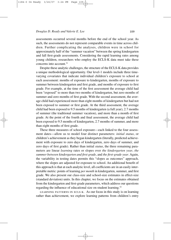assessments occurred several months before the end of the school year. As such, the assessments do not represent comparable events in time across children. Further complicating the analyses, children were in school for approximately half of the "summer vacation" between the spring kindergarten and fall first-grade assessments. Considering the rapid learning rates among young children, researchers who employ the ECLS-K data must take these concerns into account.31

Despite these analytic challenges, the structure of the ECLS-K data provides a unique methodological opportunity. Our level-1 models include three timevarying covariates that indicate individual children's exposure to school at each assessment: months of exposure to kindergarten, months of exposure to summer between kindergarten and first grade, and months of exposure to first grade. For example, at the time of the first assessment the average child had been "exposed" to more than two months of kindergarten, but zero months of summer and zero months of first grade. With the second assessment, the average child had experienced more than eight months of kindergarten but had not been exposed to summer or first grade. At the third assessment, the average child had been exposed to 9.5 months of kindergarten (a full year), 2.7 months of summer (the traditional summer vacation), and more than a month of first grade. At the point of the fourth and final assessment, the average child had been exposed to 9.5 months of kindergarten, 2.7 months of summer, and more than eight months of first grade.

These three measures of school exposure—each linked to the four assessment dates—allow us to model four distinct parameters: *initial status*, or children's achievement as they began kindergarten (literally, predicted achievement with exposure to zero days of kindergarten, zero days of summer, and zero days of first grade). Rather than initial *status*, the three remaining parameters are linear *learning* rates or slopes over *the kindergarten year*, *the summer between kindergarten and first grade*, and *the first-grade year*. Again, the variability in testing dates permits this "slopes as outcomes" approach, where the slopes are adjusted for exposure to school. An additional benefit of this approach is that at each analytic level, all coefficients are in an easily interpretable metric: points of learning *per month* in kindergarten, summer, and first grade. We also present our class-size and school-size estimates in effect-size (standard deviation) units. In this chapter, we focus on the estimates obtained from the kindergarten and first-grade parameters, which address our questions regarding the influence of educational size on student learning.<sup>32</sup>

learning patterns in ecls-k. As our focus in this study is on learning rather than achievement, we explore learning patterns from children's entry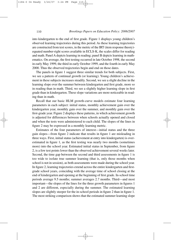into kindergarten to the end of first grade. Figure 1 displays young children's observed learning trajectories during this period. As these learning trajectories are constructed from test scores, in the metric of the IRT (item response theory) equated number-right scores available in ECLS-K, the scales differ for reading and math. Panel A depicts learning in reading; panel B depicts learning in mathematics. On average, the first testing occurred in late October 1998, the second in early May 1999, the third in early October 1999, and the fourth in early May 2000. Thus the observed trajectories begin and end on those dates.

The panels in figure 1 suggest three similar trends for both subjects. First, we see a pattern of continual growth (or learning). Young children's achievement in these subjects increases steadily. Second, we see a slight decline in the learning slope over the summer between kindergarten and first grade, more so in reading than in math. Third, we see a slightly higher learning slope in first grade than in kindergarten. These slope variations are more noticeable in reading than in math.

Recall that our basic HLM growth-curve models estimate four learning parameters in each subject: initial status, monthly achievement gain over the kindergarten year, monthly gain over the summer, and monthly gain over the first-grade year. Figure 2 displays these patterns, in which achievement growth is adjusted for differences between when schools actually opened and closed and when the tests were administered to each child. The slopes of the lines in figure 2 may be expressed in a monthly learning metric.

Estimates of the four parameters of interest—initial status and the three gain slopes—from figure 2 indicate that results in figure 1 are misleading in three ways. First, initial status (achievement at entry into kindergarten) is overestimated in figure 1, as the first testing was nearly two months (sometimes more) into the school year. Estimated initial status in September, from figure 2, is a few test points lower than the observed achievement several weeks later. Second, the time gap between the second and third assessments in figure 1 is too wide to isolate true summer learning (that is, only those months when school is not in session), as both assessments were made during the school year. In figure 2, learning trajectories extend across the entire kindergarten and firstgrade school years, coinciding with the average time of school closing at the end of kindergarten and opening at the beginning of first grade. In-school time periods average 9.5 months; summer averages 2.7 months. Third—and most important—the slopes of the lines for the three growth parameters in figures 1 and 2 are different, especially during the summer. The estimated learning slopes are slightly steeper for the in-school periods in figure 2 than in figure 1. The most striking comparison shows that the estimated summer learning slope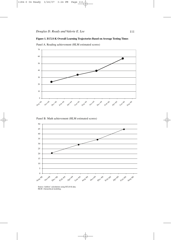# **Figure 1. ECLS-K Overall Learning Trajectories Based on Average Testing Times**



Panel A. Reading achievement (HLM estimated scores)

Panel B. Math achievement (HLM estimated scores)



Source: Authors' calculations using ECLS-K data. HLM = hierarchical modeling.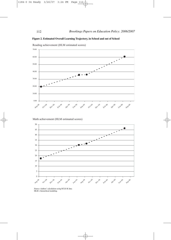



Reading achievement (HLM estimated scores)

Math achievement (HLM estimated scores)



Source: Authors' calculations using ECLS-K data. HLM = hierarchical modeling.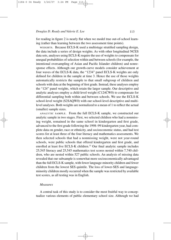for reading in figure 2 is nearly flat when we model true out-of-school learning (rather than learning between the two assessment time points).

WEIGHTS. Because ECLS-K used a multistage stratified sampling design, the data include a series of design weights. As with other longitudinal NCES data sets, analyses using ECLS-K require the use of weights to compensate for unequal probabilities of selection within and between schools (for example, the intentional oversampling of Asian and Pacific Islander children) and nonresponse effects. Although our growth-curve models consider achievement at four waves of the ECLS-K data, the "1234" panel ECLS-K weights are only defined for children in the sample at time 3. Hence the use of those weights automatically restricts the sample to that small subgroup of children and schools with data at the beginning of first grade. Instead, these analyses employ the "124" panel weights, which retain the larger sample. Our descriptive and analytic analyses employ a child-level weight (C124CW0) to compensate for differential sampling both within and between schools. We use the ECLS-K school-level weight (S2SAQW0) with our school-level descriptive and multilevel analyses. Both weights are normalized to a mean of 1 to reflect the actual (smaller) sample sizes.

analytic sample. From the full ECLS-K sample, we constructed our analytic sample in two stages. First, we selected children who had a nonmissing weight, remained in the same school in kindergarten and first grade, advanced to the first grade following the 1998–99 kindergarten year, had complete data on gender, race or ethnicity, and socioeconomic status, and had test scores for at least three of the four literacy and mathematics assessments. We then selected schools that had a nonmissing weight, were not year-round schools, were public schools that offered kindergarten and first grade, and enrolled at least five ECLS-K children.<sup>33</sup> Our final analytic sample includes 25,545 literacy and 25,545 mathematics test scores nested within 7,740 children, who are nested within 527 public schools. An analysis of missing data revealed that our subsample is somewhat more socioeconomically advantaged than the full ECLS-K sample, with fewer language-minority children and fewer children from the lowest SES quintile. The loss of lower-SES and languageminority children mostly occurred when the sample was restricted by available test scores, as all testing was in English.

### *Measures*

A central task of this study is to consider the most fruitful way to conceptualize various elements of public elementary school size. Although we had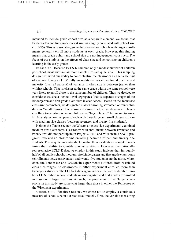intended to include grade cohort size as a separate element, we found that kindergarten and first-grade cohort size was highly correlated with school size  $(r = 0.75)$ . This is reasonable, given that elementary schools with larger enrollments generally enroll more students at each grade. However, this finding means that grade cohort and school size are not independent constructs. The focus of our study is on the effects of class size and school size on children's learning in the early grades.

class size. Because ECLS-K sampled only a modest number of children per school, most within-classroom sample sizes are quite small. This sampling design precluded our ability to conceptualize the classroom as a separate unit of analysis. Using an HLM fully unconditional model, we found that the vast majority (over 85 percent) of variance in class size is between (rather than within) schools. That is, classes at the same grade within the same school were very likely to enroll close to the same number of children. Thus we decided to consider class size as school-level aggregates (that is, separate averages of the kindergarten and first-grade class sizes in each school). Based on the Tennessee class-size parameters, we designated classes enrolling seventeen or fewer children as "small classes." For reasons discussed below, we designated classes enrolling twenty-five or more children as "large classes." In our multivariate HLM analyses, we compare schools with these large and small classes to those with medium-size classes (between seventeen and twenty-five students).

Neither the Tennessee nor the Wisconsin class-size experiments examined medium-size classrooms. Classrooms with enrollments between seventeen and twenty-two did not participate in Project STAR, and Wisconsin's SAGE program involved no classrooms enrolling between fifteen and twenty-one students. This is quite understandable, in that these evaluations sought to maximize their ability to identify class-size effects. However, the nationally representative ECLS-K data we employ in this study indicate that, in roughly half of all public schools, medium-size kindergarten and first-grade classrooms (enrollments between seventeen and twenty-five students) are the norm. Moreover, the Tennessee and Wisconsin experiments suffered from restricted class-size ranges: no classrooms in either experiment enrolled more than twenty-six students. The ECLS-K data again indicate that a considerable number of U.S. public school students in kindergarten and first grade are enrolled in classrooms larger than this. As such, the parameters of the "large" classrooms in this study are somewhat larger than those in either the Tennessee or the Wisconsin experiments.

school size. For three reasons, we chose not to employ a continuous measure of school size in our statistical models. First, the variable measuring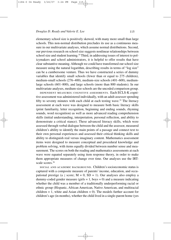elementary school size is positively skewed, with many more small than large schools. This non-normal distribution precludes its use as a continuous measure in our multivariate analyses, which assume normal distributions. Second, our previous research on school size suggests nonlinear relationships between school size and student learning.<sup>34</sup> Third, in addressing issues of interest to policymakers and school administrators, it is helpful to offer results that have clear substantive meaning. Although we could have transformed our school size measure using the natural logarithm, describing results in terms of "log size" can be a cumbersome venture. Thus we have constructed a series of dummy variables that identify small schools (fewer than or equal to 275 children), medium-small schools (276–400), medium-size schools (401–600), mediumlarge schools (601–800), and large schools (more than 800 students). In our multivariate analyses, medium-size schools are the uncoded comparison group.

dependent measures: cognitive assessments. Each ECLS-K cognitive assessment was administered individually, with an adult assessor spending fifty to seventy minutes with each child at each testing wave.<sup>35</sup> The literacy assessment at each wave was designed to measure both basic literacy skills (print familiarity, letter recognition, beginning and ending sounds, rhyming sounds, word recognition) as well as more advanced reading comprehension skills (initial understanding, interpretation, personal reflection, and ability to demonstrate a critical stance). These advanced literacy skills, which were assessed through verbal dialogue between the child and the assessor, measured children's ability to identify the main points of a passage and connect text to their own personal experiences and assessed their critical thinking skills and ability to distinguish real versus imaginary content. Mathematics assessment items were designed to measure conceptual and procedural knowledge and problem solving, with items equally divided between number sense and measurement. The scores on both the reading and mathematics assessments at each wave were equated separately using item response theory, in order to make them appropriate measures of change over time. Our analyses use the IRTscale scores.<sup>36</sup>

social and academic background. Children's socioeconomic status is captured with a composite measure of parents' income, education, and occupational prestige (a *z* score;  $M = 0$ ,  $SD = 1$ ). Our analyses also employ a dummy-coded gender measure (girls  $= 1$ , boys  $= 0$ ) and a measure indicating whether the child was a member of a traditionally underperforming racial or ethnic group (Hispanic, African American, Native American, and multiracial children  $= 1$ , white and Asian children  $= 0$ ). The models further account for children's age (in months), whether the child lived in a single-parent home (yes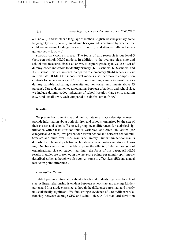$= 1$ , no  $= 0$ ), and whether a language other than English was the primary home language (yes  $= 1$ , no  $= 0$ ). Academic background is captured by whether the child was repeating kindergarten (yes =  $1$ , no = 0) and attended full-day kindergarten (yes  $= 1$ , no  $= 0$ ).

school characteristics. The focus of this research is our level-3 (between-school) HLM models. In addition to the average class-size and school-size measures discussed above, to capture grade span we use a set of dummy-coded indicators to identify primary (K–3) schools, K–8 schools, and K–12 schools, which are each compared to elementary (K–6) schools in our multivariate HLMs. Our school-level models also incorporate composition controls for school-average SES (a *z* score) and high-minority enrollment (a dummy variable indicating non-white and non-Asian enrollments above 33 percent). Due to documented associations between urbanicity and school size, we include dummy-coded indicators of school location (large city, medium city, rural–small town, each compared to suburbs–urban fringe).

# **Results**

We present both descriptive and multivariate results. Our descriptive results provide information about both children and schools, organized by the size of their classes and schools. We tested group mean differences for statistical significance with *t* tests (for continuous variables) and cross-tabulations (for categorical variables). We present our within-school and between-school multivariate and multilevel HLM results separately. Our within-school results describe the relationships between child-level characteristics and student learning. Our between-school models explore the effects of elementary school organizational size on student learning—the focus of this paper. All HLM results in tables are presented in the test score points per month (ppm) metric described earlier, although we also convert some to effect sizes (ES) and annual test-score point differences.

## *Descriptive Results*

Table 1 presents information about schools and students organized by school size. A linear relationship is evident between school size and average kindergarten and first-grade class size, although the differences are small and mostly not statistically significant. We find stronger evidence of a (curvilinear) relationship between average-SES and school size. A 0.4 standard deviation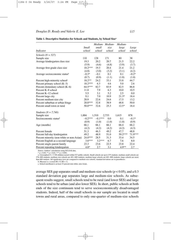| <i>Indicator</i>                          | Small<br>school | small<br>school | Medium- Medium-<br>size<br>school | Medium-<br>large<br>school | Large<br>school |
|-------------------------------------------|-----------------|-----------------|-----------------------------------|----------------------------|-----------------|
| Schools ( $N = 527$ )                     |                 |                 |                                   |                            |                 |
| Sample size                               | 110             | 128             | 171                               | 80                         | 38              |
| Average kindergarten class size           | 19.3            | 20.2            | 20.7                              | 21.5                       | 22.2            |
|                                           | (5.9)           | (4.6)           | (4.8)                             | (3.9)                      | (3.7)           |
| Average first-grade class size            | 18.2***         | 19.3            | 20.4                              | 21.4                       | 21.2            |
|                                           | (4.8)           | (3.0)           | (3.2)                             | (3.1)                      | (4.2)           |
| Average socioeconomic status <sup>b</sup> | $-0.3*$         | $-0.1$          | 0.1                               | 0.1                        | $-0.2*$         |
|                                           | (0.7)           | (0.9)           | (1.1)                             | (1.0)                      | (1.0)           |
| Percent high-minority school <sup>c</sup> | 18.2**          | 24.2            | 33.1                              | 33.8                       | 44.7            |
| Percent primary school (K-3)              | $18.2***$       | 6.3             | 4.6                               | 5.0                        | 2.6             |
| Percent elementary school (K-6)           | $64.5***$       | 82.7            | 83.9                              | 82.5                       | 86.8            |
| Percent K-8 school                        | 11.8            | 7.9             | 6.3                               | 10.0                       | 10.5            |
| Percent K-12 school                       | 5.5             | 3.1             | 5.2                               | 2.5                        | 0.0             |
| Percent large city                        | 9.1             | 7.0             | 10.9                              | $21.3*$                    | 18.4            |
| Percent medium-size city                  | 20.9            | 22.6            | 24.6                              | 17.5                       | 13.2            |
| Percent suburban or urban fringe          | $20.0***$       | 32.8            | 38.9                              | 48.8                       | 50.0            |
| Percent small town or rural               | 50.0***         | 32.6            | 25.3                              | $12.5*$                    | 18.4            |
| Students ( $N = 7,740$ )                  |                 |                 |                                   |                            |                 |
| Sample size                               | 1,004           | 1.510           | 2,733                             | 1,615                      | 878             |
| Socioeconomic status <sup>b</sup>         | $-0.2***$       | $-0.1***$       | 0.0                               | 0.1                        | $-0.1*$         |
|                                           | (0.9)           | (1.0)           | (1.0)                             | (1.0)                      | (0.9)           |
| Age (months)                              | 66.1            | 66.1            | 66.1                              | 66.4                       | 66.2            |
|                                           | (4.2)           | (4.2)           | (4.2)                             | (4.2)                      | (4.3)           |
| Percent female                            | 51.3            | 46.3            | 49.2                              | 47.7                       | 48.8            |
| Percent full-day kindergarten             | 49.2            | 48.9            | 51.0                              | 59.2***                    | 71.9***         |
| Percent minority (non-white or non-Asian) | $24.0***$       | 28.5            | 31.3                              | 33.4                       | 34.5            |
| Percent English as a second language      | $3.6***$        | $3.2***$        | 6.7                               | 7.6                        | 8.0             |
| Percent single-parent family              | 23.3            | 23.6            | 22.5                              | 23.8                       | 22.4            |
| Percent repeating kindergarten            | $4.8*$          | 2.7             | 3.1                               | $4.9**$                    | 2.7             |

## **Table 1. Descriptive Statistics for Schools and Students, by School Sizea**

Source: Authors' calculations using ECLS-K data.

 $* p < 0.05$ ;  $** p < 0.01$ ;  $*** p < 0.001$ .

a. Unweighted *N* = 7,740 children nested within 527 public schools. Small schools are up to 275 students; medium-small schools are 276–400 students; medium-size schools are 401–600 students; medium-large schools are 601–800 students; large schools are more than 800 students. All significance tests are compared to medium-size schools; standard deviations are in parentheses.

b. Measure is z scored  $(M = 0, SD = 1)$ .

c. School enrollment is at least 33 percent non-white, non-Asian.

average SES gap separates small and medium-size schools ( $p < 0.05$ ), and a 0.3 standard deviation gap separates large and medium-size schools. As subsequent results suggest, small schools tend to be rural (and lower SES) and large schools tend to be urban (and also lower SES). In short, public schools at both ends of the size continuum tend to serve socioeconomically disadvantaged students. Indeed, half of the small schools in our sample are located in small towns and rural areas, compared to only one-quarter of medium-size schools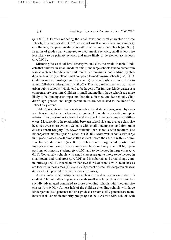$(p < 0.001)$ . Further reflecting the small-town and rural character of these schools, less than one-fifth (18.2 percent) of small schools have high-minority enrollments, compared to almost one-third of medium-size schools ( $p < 0.01$ ). In terms of grade span, compared to medium-size schools, small schools are less likely to be primary schools and more likely to be elementary schools  $(p < 0.001)$ .

Mirroring these school-level descriptive statistics, the results in table 1 indicate that children in small, medium-small, and large schools tend to come from less-advantaged families than children in medium-size schools. Minority children are less likely to attend small compared to medium-size schools  $(p < 0.001)$ . Children in medium-large and (especially) large schools are more likely to attend full-day kindergarten ( $p < 0.001$ ). This may reflect the fact that many urban public schools (which tend to be larger) offer full-day kindergarten as a compensatory program. Children in small and medium-large schools are more likely to be kindergarten repeaters than those in medium-size schools. Children's age, gender, and single-parent status are not related to the size of the school they attend.

Table 2 presents information about schools and students organized by average class size in kindergarten and first grade. Although the sociodemographic relationships are similar to those found in table 1, there are some clear differences. Most notably, the relationship between school size and average class size becomes even more evident. Schools with small kindergarten and first-grade classes enroll roughly 130 fewer students than schools with medium-size kindergarten and first-grade classes ( $p < 0.001$ ). Moreover, schools with large first-grade classes enroll almost 100 students more than those with mediumsize first-grade classes ( $p < 0.05$ ). Schools with large kindergarten and first-grade classrooms are also considerably more likely to enroll high proportions of minority students ( $p < 0.05$ ) and to be located in large cities ( $p <$ 0.01). Conversely, schools with small classes are quite likely to be located in small towns and rural areas  $(p < 0.01)$  and in suburban and urban fringe communities ( $p < 0.01$ ). Indeed, more than two-thirds of schools with small classes are located in these areas (40.2 and 29.0 percent of small kindergarten classes; 42.5 and 23.9 percent of small first-grade classes).

A curvilinear relationship between class size and socioeconomic status is evident. Children attending schools with small *and* large class sizes are less socially advantaged compared to those attending schools with medium-size classes ( $p < 0.001$ ). Almost half of the children attending schools with large kindergarten (43.4 percent) and first-grade classrooms (45.9 percent) are members of racial or ethnic minority groups ( $p < 0.001$ ). As with SES, schools with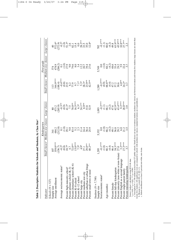|                                                                          |                                                                                                  | Kindergarten                                   |                                                                                                                                             |                                                                                                                                                                                                                                                                                                                                                                                                                                                              | First grade                                                                        |                                                                                                                                                                      |
|--------------------------------------------------------------------------|--------------------------------------------------------------------------------------------------|------------------------------------------------|---------------------------------------------------------------------------------------------------------------------------------------------|--------------------------------------------------------------------------------------------------------------------------------------------------------------------------------------------------------------------------------------------------------------------------------------------------------------------------------------------------------------------------------------------------------------------------------------------------------------|------------------------------------------------------------------------------------|----------------------------------------------------------------------------------------------------------------------------------------------------------------------|
| Indicator                                                                |                                                                                                  | Small classes <sup>ª</sup> Medium-size classes | Large classes                                                                                                                               |                                                                                                                                                                                                                                                                                                                                                                                                                                                              | Small classes Medium-size classes                                                  | Large classes                                                                                                                                                        |
| $Sthoods (N = 527)$                                                      |                                                                                                  |                                                |                                                                                                                                             |                                                                                                                                                                                                                                                                                                                                                                                                                                                              |                                                                                    |                                                                                                                                                                      |
| Sample size                                                              |                                                                                                  |                                                |                                                                                                                                             |                                                                                                                                                                                                                                                                                                                                                                                                                                                              |                                                                                    |                                                                                                                                                                      |
| Average enrollment                                                       |                                                                                                  |                                                |                                                                                                                                             |                                                                                                                                                                                                                                                                                                                                                                                                                                                              |                                                                                    |                                                                                                                                                                      |
|                                                                          |                                                                                                  |                                                |                                                                                                                                             | $\begin{array}{l} 13 \\ 13 \\ 34 \\ 45 \\ 56 \\ 61 \\ 72 \\ 83 \\ 94 \\ 134 \\ 145 \\ 156 \\ 168 \\ 176 \\ 180 \\ 190 \\ 100 \\ 101 \\ 101 \\ 102 \\ 103 \\ 104 \\ 105 \\ 106 \\ 107 \\ 108 \\ 109 \\ 101 \\ 101 \\ 102 \\ 103 \\ 104 \\ 105 \\ 106 \\ 107 \\ 108 \\ 109 \\ 11 \\ 12 \\ 139 \\ 14 \\ 158 \\ 158 \\ 158 \\ 159 \\$                                                                                                                            | 5 4 80<br>4 8 9 9 0 1 2 9 8 8 9 1 2 8 9 2<br>2 9 9 9 0 1 2 9 9 9 9 9 1 2 1 2 9 8 7 |                                                                                                                                                                      |
| Average socioeconomic status <sup>t</sup>                                |                                                                                                  |                                                |                                                                                                                                             |                                                                                                                                                                                                                                                                                                                                                                                                                                                              |                                                                                    |                                                                                                                                                                      |
|                                                                          |                                                                                                  |                                                |                                                                                                                                             |                                                                                                                                                                                                                                                                                                                                                                                                                                                              |                                                                                    |                                                                                                                                                                      |
| Percent high-minority school <sup>e</sup>                                |                                                                                                  |                                                |                                                                                                                                             |                                                                                                                                                                                                                                                                                                                                                                                                                                                              |                                                                                    |                                                                                                                                                                      |
| Percent primary school $(K-3)$                                           |                                                                                                  |                                                |                                                                                                                                             |                                                                                                                                                                                                                                                                                                                                                                                                                                                              |                                                                                    |                                                                                                                                                                      |
| Percent elementary school (K-6)                                          |                                                                                                  |                                                |                                                                                                                                             |                                                                                                                                                                                                                                                                                                                                                                                                                                                              |                                                                                    |                                                                                                                                                                      |
| Percent K-8 school                                                       |                                                                                                  |                                                |                                                                                                                                             |                                                                                                                                                                                                                                                                                                                                                                                                                                                              |                                                                                    |                                                                                                                                                                      |
| Percent K-12 school                                                      |                                                                                                  |                                                |                                                                                                                                             |                                                                                                                                                                                                                                                                                                                                                                                                                                                              |                                                                                    |                                                                                                                                                                      |
| Percent large city                                                       |                                                                                                  |                                                |                                                                                                                                             |                                                                                                                                                                                                                                                                                                                                                                                                                                                              |                                                                                    |                                                                                                                                                                      |
| Percent medium-size city                                                 |                                                                                                  |                                                |                                                                                                                                             |                                                                                                                                                                                                                                                                                                                                                                                                                                                              |                                                                                    |                                                                                                                                                                      |
| Percent suburban or urban fringe                                         |                                                                                                  |                                                |                                                                                                                                             |                                                                                                                                                                                                                                                                                                                                                                                                                                                              |                                                                                    |                                                                                                                                                                      |
| Percent small town or rura                                               |                                                                                                  |                                                |                                                                                                                                             |                                                                                                                                                                                                                                                                                                                                                                                                                                                              |                                                                                    |                                                                                                                                                                      |
| Students $(N = 7,740)$                                                   |                                                                                                  |                                                |                                                                                                                                             |                                                                                                                                                                                                                                                                                                                                                                                                                                                              |                                                                                    |                                                                                                                                                                      |
| Sample size                                                              |                                                                                                  | 5,352                                          | ,093                                                                                                                                        | .289                                                                                                                                                                                                                                                                                                                                                                                                                                                         | 5,749                                                                              |                                                                                                                                                                      |
| Socioeconomic status <sup>b</sup>                                        |                                                                                                  |                                                |                                                                                                                                             |                                                                                                                                                                                                                                                                                                                                                                                                                                                              |                                                                                    |                                                                                                                                                                      |
|                                                                          | 1.295<br>$-0.1$ ***<br>$-0.3$<br>$(1.0)$<br>$(5.3)$<br>$(4.4)$<br>$46.3$<br>$38.3$ ***<br>$27.0$ |                                                | $-0.2***$<br>$-0.1$<br>$-0.1$<br>$-0.5$<br>$-0.5$<br>$-0.5$<br>$-0.5$<br>$-0.5$<br>$-0.3$<br>$-0.3$<br>$-0.2$<br>$-0.2$<br>$-0.3$<br>$-0.3$ | $\begin{array}{l} \mathcal{A}_{2}^{\ast\ast},\\ \mathcal{A}_{3}^{\ast\ast},\\ \mathcal{A}_{4}^{\ast},\\ \mathcal{A}_{5}^{\ast},\\ \mathcal{A}_{6}^{\ast},\\ \mathcal{A}_{7}^{\ast},\\ \mathcal{A}_{8}^{\ast},\\ \mathcal{A}_{9}^{\ast},\\ \mathcal{A}_{1}^{\ast},\\ \mathcal{A}_{1}^{\ast},\\ \mathcal{A}_{2}^{\ast},\\ \mathcal{A}_{3}^{\ast},\\ \mathcal{A}_{4}^{\ast},\\ \mathcal{A}_{5}^{\ast},\\ \mathcal{A}_{6}^{\ast},\\ \mathcal{A}_{7}^{\ast},\\ \$ |                                                                                    | 702<br>$-0.1$ <sup>***</sup><br>$-0.1$ <sup>***</sup><br>$-0.5$<br>$(1.1)$<br>$66.0$<br>$(4.2)$<br>$(3.3)$ ****<br>$-0.38$<br>$(5.9$ ****<br>$-0.38$<br>$-0.59$ **** |
| Age (months)                                                             |                                                                                                  |                                                |                                                                                                                                             |                                                                                                                                                                                                                                                                                                                                                                                                                                                              |                                                                                    |                                                                                                                                                                      |
|                                                                          |                                                                                                  |                                                |                                                                                                                                             |                                                                                                                                                                                                                                                                                                                                                                                                                                                              |                                                                                    |                                                                                                                                                                      |
| Percent female                                                           |                                                                                                  |                                                |                                                                                                                                             |                                                                                                                                                                                                                                                                                                                                                                                                                                                              |                                                                                    |                                                                                                                                                                      |
| Percent full-day kindergarten                                            |                                                                                                  |                                                |                                                                                                                                             |                                                                                                                                                                                                                                                                                                                                                                                                                                                              |                                                                                    |                                                                                                                                                                      |
| Percent minority (non-white or non-Asian                                 |                                                                                                  |                                                |                                                                                                                                             |                                                                                                                                                                                                                                                                                                                                                                                                                                                              |                                                                                    |                                                                                                                                                                      |
| Percent English as a second language                                     |                                                                                                  |                                                |                                                                                                                                             |                                                                                                                                                                                                                                                                                                                                                                                                                                                              |                                                                                    |                                                                                                                                                                      |
| Percent single-parent family                                             | $3.2***$<br>27.3 * * * *<br>3.7                                                                  |                                                | $\frac{9.2***}{28.8***}$                                                                                                                    |                                                                                                                                                                                                                                                                                                                                                                                                                                                              |                                                                                    |                                                                                                                                                                      |
| Percent repeating kindergarten                                           |                                                                                                  |                                                |                                                                                                                                             |                                                                                                                                                                                                                                                                                                                                                                                                                                                              |                                                                                    |                                                                                                                                                                      |
| Course. Authority is considered and a property of the DT of the Research |                                                                                                  |                                                |                                                                                                                                             |                                                                                                                                                                                                                                                                                                                                                                                                                                                              |                                                                                    |                                                                                                                                                                      |

Table 2. Descriptive Statistics for Schools and Students, by Class Size<sup>a</sup> **Table 2. Descriptive Statistics for Schools and Students, by Class Sizea**

Source: Authors' calculations using ECLS-K data.<br>\*  $p < 0.05$ ; \*\*  $p < 0.01$ ; \*\*\*  $p < 0.001$ . Source: Authors' calculations using ECLS-K data.

\* *p* < 0.05; \*\* *p* < 0.01; \*\*\* *p* < 0.001.

a. Unweighted N = 7,740 children nested within 527 public schools. Small classes are up to seventeen students; medium-size classes are between seventeen and twenty-five students; large classes are more than<br>twenty-five stu a. Unweighted *N* = 7,740 children nested within 527 public schools. Small classes are up to seventeen students; medium-size classes are between seventeen and twenty-five students; large classes are more than

twenty-five students. All significance tests are compared to schools with medium-size classes; standard deviations are in parentheses.

b. Measure is *z* scored (M = 0, SD = 1). c. School enrollment is at least 33 percent non-white, non-Asian.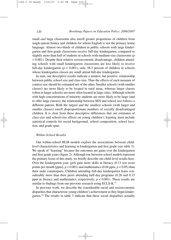small *and* large classrooms also enroll greater proportions of children from single-parent homes and children for whom English is not the primary home language. Almost two-thirds of children in public schools with large kindergarten and first-grade classrooms receive full-day kindergarten, compared to slightly more than half of students in schools with medium-size classrooms (*p* < 0.001). Despite their relative socioeconomic disadvantage, children attending schools with small kindergarten classrooms are less likely to receive full-day kindergarten ( $p < 0.001$ ); only 38.3 percent of children in schools whose kindergarten classes are small attend full-day kindergarten.

In sum, our descriptive results indicate a modest, but positive, relationship between public school size and class size. Thus the effects of each measure of context size should be estimated net of the other. Smaller schools (with smaller classes) are more likely to be located in rural areas, whereas larger classes (often in larger schools) are more often located in large cities. Although schools with high concentrations of minority students are more likely to be large (and to offer large classes), the relationship between SES and school size follows a different pattern. Both the largest and the smallest schools (with larger and smaller classes) enroll disproportionate numbers of socially disadvantaged children. It is clear from these descriptive differences that our estimates of class-size and school-size effects on young children's learning must include statistical controls for social background, school composition, school location, and grade span.

# *Within-School Results*

Our within-school HLM models explore the associations between childlevel characteristics and learning in kindergarten and first grade (see table 3). We speak of "learning" because the outcomes are gains over the kindergarten and first-grade years (figure 2). Although our between-school models represent the primary focus of this study, we briefly describe our child-level results here. Over the kindergarten year, girls gain more skills in literacy (0.13 test score points per month [ppm],  $p < 0.001$  and mathematics (0.04 ppm,  $p < 0.05$ ) than their male counterparts. Children attending full-day kindergarten learn considerably more than their peers attending half-day programs (0.26 and 0.15 ppm in literacy and mathematics, respectively;  $p < 0.001$ ). These results are similar to findings from our previous research using ECLS-K.<sup>37</sup>

In previous work, we describe the considerable racial and socioeconomic disparities that characterize young children's achievement as they begin kindergarten.38 The results in table 3 indicate that these social disparities actually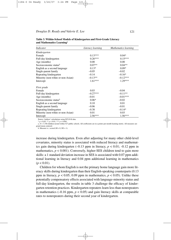| Indicator                         | Literacy learning | Mathematics learning |
|-----------------------------------|-------------------|----------------------|
| Kindergarten                      |                   |                      |
| Female                            | $0.13***$         | $0.04*$              |
| Full-day kindergarten             | $0.26***$         | $0.15***$            |
| Age (months)                      | 0.00              | 0.00                 |
| Socioeconomic status <sup>b</sup> | $0.07**$          | $0.04**$             |
| English as a second language      | $0.13*$           | $0.09*$              |
| Single-parent family              | $-0.05$           | $-0.02$              |
| Repeating kindergarten            | $-0.14$           | $-0.16*$             |
| Minority (non-white or non-Asian) | $-0.13**$         | $-0.12***$           |
| Intercept                         | $1.61***$         | $1.29***$            |
| First grade                       |                   |                      |
| Female                            | 0.03              | $-0.04$              |
| Full-day kindergarten             | $-0.27***$        | $-0.11**$            |
| Age (months)                      | $-0.01$           | $-0.01***$           |
| Socioeconomic status <sup>b</sup> | $0.06*$           | $-0.02$              |
| English as a second language      | 0.10              | 0.01                 |
| Single-parent family              | $-0.06$           | $-0.01$              |
| Repeating kindergarten            | $-0.38$           | $-0.14*$             |
| Minority (non-white or non-Asian) | 0.01              | 0.03                 |
| Intercept                         | 2.56***           | $1.56***$            |

**Table 3. Within-School Models of Kindergarten and First-Grade Literacy and Mathematics Learninga**

Source: Authors' calculations using ECLS-K data.  $* p < 0.05; ** p < 0.01; *** p < 0.001.$ 

a. *N* = 7,740 children nested within 527 public schools. All coefficients are in a points-per-month learning metric. All measures are grand-mean centered.

b. Measure is  $z$  scored  $(M = 0, SD = 1)$ .

increase during kindergarten. Even after adjusting for many other child-level covariates, minority status is associated with reduced literacy and mathematics gain during kindergarten  $(-0.13$  ppm in literacy,  $p < 0.01$ ;  $-0.12$  ppm in mathematics,  $p < 0.001$ ). Conversely, higher-SES children tend to gain more skills: a 1 standard deviation increase in SES is associated with 0.07 ppm additional learning in literacy and 0.04 ppm additional learning in mathematics  $(p < 0.01)$ .

Children for whom English is not the primary home language gain more literacy skills during kindergarten than their English-speaking counterparts (0.13 ppm in literacy,  $p < 0.05$ ; 0.09 ppm in mathematics,  $p < 0.05$ ). Unlike these potentially compensatory effects associated with language-minority status and full-day kindergarten, the results in table 3 challenge the efficacy of kindergarten retention practices. Kindergarten repeaters learn less than nonrepeaters in mathematics  $(-0.16$  ppm,  $p < 0.05$ ) and gain literacy skills at comparable rates to nonrepeaters during their second year of kindergarten.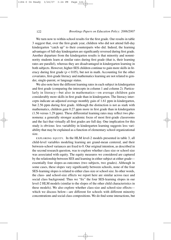We turn now to within-school results for the first grade. Our results in table 3 suggest that, over the first-grade year, children who did not attend full-day kindergarten "catch up" to their counterparts who did. Indeed, the learning advantages of full-day kindergarten are significantly reversed during first grade. Another departure from the kindergarten results is that minority and nonminority students learn at similar rates during first grade (that is, their learning rates are parallel), whereas they are disadvantaged in kindergarten learning in both subjects. However, higher-SES children continue to gain more skills in literacy during first grade ( $p < 0.05$ ), but not in math. Accounting for the other covariates, first-grade literacy and mathematics learning are not related to gender, single-parent, or language status.

We also note here the different learning rates in each subject in kindergarten and first grade (comparing the intercepts in column 1 and column 2). Particularly in literacy—but also in mathematics—on average children gain considerably more skills in first grade than in kindergarten. The literacy intercepts indicate an adjusted average monthly gain of 1.61 ppm in kindergarten, but 2.56 ppm during first grade. Although the distinction is not as stark with mathematics, children gain 0.27 ppm more in first grade than in kindergarten (1.56 versus 1.29 ppm). These differential learning rates may reflect two phenomena: a generally stronger academic focus of most first-grade classrooms and the fact that virtually all first grades are full day. One implication for this study is obvious: less variability in kindergarten learning suggests less variability that may be explained as a function of elementary school organizational size.

exploring equity. In the HLM level-2 models presented in table 3, all child-level variables modeling learning are grand-mean centered, and their between-school variances are fixed to 0. Our original intention, as described in the second research question, was to explore whether class size or school size was associated with equity. The equity measures we considered are captured by the relationship between SES and learning in either subject at either grade essentially four slopes-as-outcomes (two subjects, two grades). Although in some cases, these slopes vary significantly between schools, none of the four SES-learning slopes is related to either class size or school size. In other words, the class- and school-size effects we report here are similar across race and social class background. Thus we "fix" the four SES-learning slopes in our level-2 HLM models (similar to the slopes of the other child characteristics in these models). We also explore whether class-size and school-size effects which we discuss below—are different for schools with different minority concentrations and social class compositions. We do find some interactions, but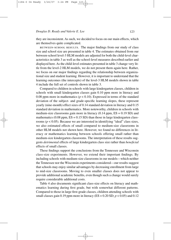they are inconsistent. As such, we decided to focus on our main effects, which are themselves quite complicated.

between-school results. The major findings from our study of class size and school size are presented in table 4. The estimates obtained from our between-school level-3 HLM models are adjusted for both the child-level characteristics in table 3 as well as the school-level measures described earlier and displayed here. As the child-level estimates presented in table 3 change very little from the level-2 HLM models, we do not present them again here. Rather, we focus on our major findings regarding the relationship between organizational size and student learning. However, it is important to understand that the learning outcomes (the intercepts) of the level-3 HLM models shown in table 4 include the full set of controls shown in table 3.

Compared to children in schools with large kindergarten classes, children in schools with small kindergarten classes gain 0.10 ppm more in literacy and 0.08 ppm more in mathematics ( $p < 0.10$ ). Expressed in terms of the standard deviation of the subject- and grade-specific learning slopes, these represent yearly (nine-month) effect sizes of 0.14 standard deviation in literacy and 0.15 standard deviation in mathematics. More noteworthy, children in schools with medium-size classrooms gain more in literacy  $(0.14$  ppm,  $ES = 0.19$  SD) and mathematics (0.08 ppm,  $ES = 0.15 SD$ ) than those in large kindergarten classrooms ( $p < 0.05$ ). Because we are interested in identifying "ideal" class sizes, we also estimated effects of small compared to medium-size classrooms in other HLM models not shown here. However, we found no differences in literacy or mathematics learning between schools offering small rather than medium-size kindergarten classrooms. The interpretation of these results suggests *detrimental* effects of large kindergarten class size rather than *beneficial* effects of small classes.

These findings support the conclusions from the Tennessee and Wisconsin class-size experiments. However, we extend their important findings. By including schools with medium-size classrooms in our models—which neither the Tennessee nor the Wisconsin experiments considered—our results suggest that schools may enjoy similar advantages by decreasing enrollment from large to mid-size classrooms. Moving to even smaller classes does not appear to provide additional academic benefits, even though such a change would surely require considerable additional costs.

Table 4 also documents significant class-size effects on literacy and mathematics learning during first grade, but with somewhat different patterns. Compared to those in large first-grade classes, children attending schools with small classes gain 0.19 ppm more in literacy ( $ES = 0.20$  SD;  $p < 0.05$ ) and 0.12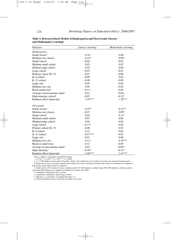| <b>Indicator</b>                          | Literacy learning | Mathematics learning |
|-------------------------------------------|-------------------|----------------------|
| Kindergarten                              |                   |                      |
| Small classes <sup>b</sup>                | $0.10-$           | $0.08-$              |
| Medium-size classes                       | $0.14*$           | $0.08*$              |
| Small school <sup>c</sup>                 | $-0.04$           | $-0.03$              |
| Medium-small school                       | 0.02              | 0.02                 |
| Medium-large school                       | 0.02              | 0.00                 |
| Large school                              | $-0.03$           | $-0.01$              |
| Primary school $(K-3)d$                   | $-0.07$           | $-0.06$              |
| $K-8$ school                              | $-0.09$           | 0.03                 |
| K-12 school                               | $-0.08$           | $-0.08$              |
| Large city <sup>e</sup>                   | 0.05              | 0.04                 |
| Medium-size city                          | 0.05              | $-0.02$              |
| Rural-small town                          | $-0.11-$          | $-0.05$              |
| Average socioeconomic status <sup>f</sup> | 0.01              | $-0.04-$             |
| High-minority school <sup>g</sup>         | $-0.07$           | $-0.12*$             |
| Random effect (intercept)                 | $1.55***$         | $1.28***$            |
| First grade                               |                   |                      |
| Small classes <sup>b</sup>                | $0.19*$           | $0.12**$             |
| Medium-size classes                       | $-0.07$           | $0.09*$              |
| Small school <sup>c</sup>                 | 0.03              | $0.13*$              |
| Medium-small school                       | 0.07              | 0.08                 |
| Medium-large school                       | 0.04              | 0.02                 |
| Large school                              | $-0.17*$          | $-0.03$              |
| Primary school $(K-3)^d$                  | $-0.08$           | 0.01                 |
| $K-8$ school                              | 0.12              | 0.04                 |
| $K-12$ school                             | $-0.57***$        | $-0.03$              |
| Large city <sup>e</sup>                   | $-0.01$           | 0.08                 |
| Medium-size city                          | $0.12-$           | $0.18***$            |
| Rural or small town                       | $-0.12$           | $-0.05$              |
| Average socioeconomic status <sup>f</sup> | 0.03              | $-0.05*$             |
| High-minority <sup>g</sup>                | $-0.18*$          | $-0.13*$             |
| Random effect (intercept)                 | 2.49***           | $1.43***$            |

#### **Table 4. Between-School Models of Kindergarten and First-Grade Literacy and Mathematics Learninga**

Source: Authors' calculations using ECLS-K data.

 $\label{eq:10} \sim p < 0.10; \, {}^{\ast } \, p < 0.05; \, {}^{\ast \ast} \, p < 0.01; \, {}^{\ast \ast \ast} \, p < 0.001.$ 

a.  $N = 7,740$  children nested within 527 public schools. All coefficients are in a child-level points-per-month of learning metric.

b. Small classes (up to seventeen students) and medium-size classes (between seventeen and twenty-five students) are compared to large classes (more than twenty-five students).

c. Small schools (275 students or fewer), medium-small (276–400 students), medium-large (601–800 students), and large schools (more than 800 students) are compared to medium-size schools (401–600).

d. Compared to elementary (K–6) schools.

e. Compared to suburban or urban fringe schools.

f . Measure is *z* scored ( $M = 0$ , standard deviation = 1).

g. School enrollment at least 33 percent non-white, non-Asian.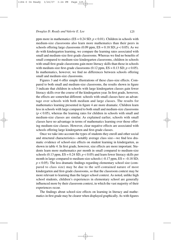ppm more in mathematics ( $ES = 0.24$  SD;  $p < 0.01$ ). Children in schools with medium-size classrooms also learn more mathematics than their peers in schools offering large classrooms (0.09 ppm,  $ES = 0.18 SD$ ;  $p < 0.05$ ). As we do with kindergarten learning, we compare the learning rates associated with small and medium-size first-grade classrooms. Whereas we find no benefits of small compared to medium-size kindergarten classrooms, children in schools with small first-grade classrooms gain more literacy skills than those in schools with medium-size first-grade classrooms  $(0.12 \text{ ppm}, \text{ES} = 0.13 \text{ SD}; p < 0.05)$ . In mathematics, however, we find no differences between schools offering small and medium-size classrooms.

Figures 3 and 4 offer simple illustrations of these class-size effects. Compared to both small and medium-size classrooms, the results shown in figure 3 indicate that children in schools with large kindergarten classes gain fewer literacy skills over the course of the kindergarten year. In first grade, however, the effects are somewhat different: schools with small classes have an advantage over schools with both medium and large classes. The results for mathematics learning presented in figure 4 are more dramatic. Children learn less in schools with large compared to both small and medium-size classrooms  $(p < 0.05)$ , whereas the learning rates for children in schools with small and medium-size classes are similar. As explained earlier, schools with small classes have no advantage in terms of mathematics learning over those offering medium-size classes. However, clear negative effects are associated with schools offering large kindergarten and first-grade classes.

Once we take into account the types of students they enroll and other social and structural characteristics—notably average class size—we find less dramatic evidence of school-size effects on student learning in kindergarten, as shown in table 4. In first grade, however, size effects are more important. Students learn more mathematics per month in small compared to medium-size schools (0.13 ppm,  $ES = 0.24 SD$ ;  $p < 0.05$ ) and learn fewer literacy skills per month in large compared to medium-size schools  $(-0.17$  ppm,  $ES = -0.18$  SD;  $p < 0.05$ ). The less dramatic findings regarding elementary school size (compared to class size) may be due to the self-contained nature of most kindergarten and first-grade classrooms, so that the classroom context may be more relevant to learning than the larger school context. As noted, unlike high school students, children's experiences in elementary school are generally influenced more by their classroom context, in which the vast majority of their experiences occur.

The findings about school-size effects on learning in literacy and mathematics in first grade may be clearer when displayed graphically. As with figures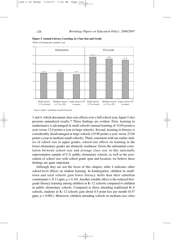

#### **Figure 3. Annual Literacy Learning, by Class Size and Grade**

Points of learning per academic year

3 and 4, which document class-size effects over a full school year, figure 5 also presents annualized results.39 Three findings are evident. First, learning in mathematics is advantaged in small schools (annual learning of 14.04 points a year versus 12.6 points a year in large schools). Second, learning in literacy is considerably disadvantaged in large schools (19.98 points a year versus 23.04 points a year in medium-small schools). Third, consistent with our earlier studies of school size in upper grades, school-size effects on learning in the lower-elementary grades are distinctly nonlinear. Given the substantial correlation between school size and average class size in this nationally representative sample of U.S. public elementary schools, as well as the association of school size with school grade span and location, we believe these findings are quite important.

Although they are not the focus of this chapter, table 4 indicates other school-level effects on student learning. In kindergarten, children in smalltown and rural schools gain fewer literacy skills than their suburban counterparts  $(-0.11$  ppm,  $p < 0.10$ ). Another notable effect is the reduced firstgrade literacy learning among children in K–12 schools compared to children in public elementary schools. Compared to those attending traditional K–6 schools, students in K–12 schools gain about 0.5 point less per month (0.57 ppm,  $p < 0.001$ ). Moreover, children attending schools in medium-size cities

Source: Authors' calculations using ECLS-K data.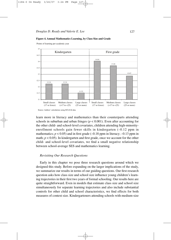#### **Figure 4. Annual Mathematics Learning, by Class Size and Grade**





learn more in literacy and mathematics than their counterparts attending schools in suburban and urban fringes ( $p < 0.001$ ). Even after accounting for the other child- and school-level covariates, children attending high-minorityenrollment schools gain fewer skills in kindergarten (–0.12 ppm in mathematics;  $p < 0.05$ ) and in first grade  $(-0.18$  ppm in literacy;  $-0.13$  ppm in math;  $p < 0.05$ ). In kindergarten and first grade, once we account for the other child- and school-level covariates, we find a small negative relationship between school-average SES and mathematics learning.

#### *Revisiting Our Research Questions*

Early in this chapter we pose three research questions around which we designed this study. Before expanding on the larger implications of the study, we summarize our results in terms of our guiding questions. Our first research question asks how class size and school size influence young children's learning trajectories in their first two years of formal schooling. Our results here are quite straightforward. Even in models that estimate class size and school size simultaneously for separate learning trajectories and also include substantial controls for other child and school characteristics, we find effects for both measures of context size. Kindergarteners attending schools with medium-size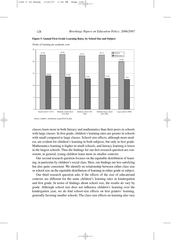



Points of learning per academic year

classes learn more in both literacy and mathematics than their peers in schools with large classes. In first grade, children's learning rates are greater in schools with small compared to large classes. School-size effects, although more modest, are evident for children's learning in both subjects, but only in first grade. Mathematics learning is higher in small schools, and literacy learning is lower in the largest schools. Thus the findings for our first research question are consistent; in general, young children learn more in smaller contexts.

Our second research question focuses on the equitable distribution of learning, in particular by children's social class. Here, our findings are less satisfying but also quite consistent. We identify no relationship between either class size or school size on the equitable distribution of learning in either grade or subject.

Our third research question asks if the effects of the size of educational contexts are different for the same children's learning rates in kindergarten and first grade. In terms of findings about school size, the results do vary by grade. Although school size does not influence children's learning over the kindergarten year, we do find school-size effects on first graders' learning, generally favoring smaller schools. The class-size effects on learning also vary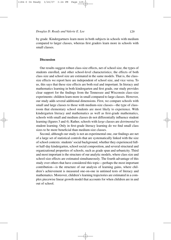by grade. Kindergartners learn more in both subjects in schools with medium compared to larger classes, whereas first graders learn more in schools with small classes.

# **Discussion**

Our results suggest robust class-size effects, net of school size, the types of students enrolled, and other school-level characteristics; the effects of both class size and school size are estimated in the same models. That is, the classsize effects we report here are independent of school size, and vice versa. To us, this says that these size effects are both real and important. In literacy and mathematics learning in both kindergarten and first grade, our study provides clear support for the findings from the Tennessee and Wisconsin class-size experiments: children learn more in small compared to large classes. However, our study adds several additional dimensions. First, we compare schools with small and large classes to those with medium-size classes—the type of classroom that elementary school students are most likely to experience. With kindergarten literacy and mathematics as well as first-grade mathematics, schools with small and medium classes do not differentially influence student learning (figures 3 and 4). Rather, schools with *large* classes are *detrimental* to student learning. Only in first-grade literacy learning do we find small class sizes to be more beneficial than medium-size classes.

Second, although our study is not an experimental one, our findings are net of a large set of statistical controls that are systematically linked with the size of school contexts: students' social background, whether they experienced fullor half-day kindergarten, school social composition, and several structural and organizational properties of schools, such as grade span and urbanicity. Third and most important is the structure of our analytic models, where class size and school-size effects are estimated simultaneously. The fourth advantage of this study over others that have considered this topic—perhaps the most important contribution—is the structure of our analysis of learning gains, where children's achievement is measured one-on-one in untimed tests of literacy and mathematics. Moreover, children's learning trajectories are estimated in a complex piecewise linear growth model that accounts for when children are in and out of school.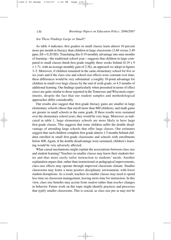# *Are These Findings Large or Small?*

As table 4 indicates, first graders in small classes learn almost 10 percent more per month in literacy than children in large classrooms (2.68 versus 2.49 ppm,  $ES = 0.20$  SD). Translating this 0.19 monthly advantage into nine months of learning—the traditional school year—suggests that children in large compared to small classes finish first grade roughly three weeks behind (0.19 x 9  $= 1.71$ , with an average monthly gain of 2.56), an approach we adopt in figures 3–5. Moreover, if children remained in the same elementary school for five or six years and if the class-size and school-size effects were constant over time, these differences would be very substantial: a roughly 10-point advantage for children in small over large classes by the end of sixth grade, or 4.5 months of additional learning. Our findings (particularly when presented in terms of effect sizes) are quite similar to those reported in the Tennessee and Wisconsin experiments, despite the fact that our student samples and methodological approaches differ considerably.

Our results also suggest that first-grade literacy gains are smaller in large elementary schools (those that enroll more than 800 children), and math gains are greater in small schools in the same grade. If these results were sustained over the elementary school years, they would be very large. Moreover, as indicated in table 1, large elementary schools are more likely to have large first-grade classes. This suggests that some children suffer the double disadvantage of attending large schools that offer large classes. Our estimates suggest that such children complete first grade almost 1.5 months behind children enrolled in small first-grade classrooms and schools with enrollments below 800. Again, if the double disadvantage were sustained, children's learning would be very adversely affected.

What causal mechanisms might explain the associations between class size and student learning? Teachers in smaller classes may know their students better and thus more easily tailor instruction to students' needs. Another explanation argues that, rather than instructional or pedagogical improvements, class-size effects may operate through improved classroom climate. Smaller classrooms may foster a more positive disciplinary environment, with fewer student disruptions. As a result, teachers in smaller classes may need to spend less time on classroom management, leaving more time for instruction. In this view, class size benefits may accrue from *student* rather than *teacher* changes in behavior. Future work on this topic might identify practices and processes that typify smaller classrooms. This is crucial, as class size per se may not be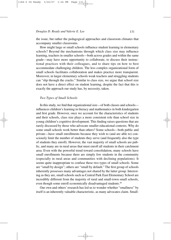the issue, but rather the pedagogical approaches and classroom climates that accompany smaller classrooms.

How might large or small schools influence student learning in elementary schools? Beyond the mechanisms through which class size may influence learning, teachers in smaller schools—both across grades and within the same grade—may have more opportunity to collaborate, to discuss their instructional practices with their colleagues, and to share tips on how to best accommodate challenging children. The less complex organizational form of small schools facilitates collaboration and makes practice more transparent. Moreover, in larger elementary schools weak teachers and struggling students can "slip through the cracks." Similar to class size, we argue that school size does not have a direct effect on student learning, despite the fact that this is exactly the approach our study has, by necessity, taken.

## *Two Types of Small Schools*

In this study, we find that organizational size—of both classes and schools influences children's learning in literacy and mathematics in both kindergarten and first grade. However, once we account for the characteristics of students and their schools, class size plays a more consistent role than school size in young children's cognitive development. This finding raises questions that are rarely discussed by those who advocate smaller educational contexts. Why do some small schools work better than others? Some schools—both public and private—have small enrollments because they wish to (and are able to) consciously limit the number of students they serve (and frequently also the type of students they enroll). However, the vast majority of small schools are public, and many are in rural areas that must enroll all students in their catchment area. Even with the powerful trend toward consolidation, many schools have small enrollments because there are simply few students in the community (especially in rural areas and communities with declining populations). It seems quite inappropriate to confuse these two types of small schools. Some are "small by design"; others are "small by default." The first group of schools inherently possesses many advantages not shared by the latter group. Interesting as they are, small schools such as Central Park East Elementary School are incredibly different from the majority of rural and small-town small schools, even though some enroll economically disadvantaged students.<sup>40</sup>

Our own and others' research has led us to wonder whether "smallness" by itself is an inherently valuable characteristic, as many advocates claim. Small-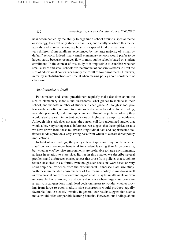ness accompanied by the ability to organize a school around a special theme or ideology, to enroll only students, families, and faculty to whom this theme appeals, and to select among applicants is a special kind of smallness. This is very different from smallness experienced by the large majority of "small by default" schools. Indeed, many small elementary schools would prefer to be larger, partly because resources flow to most public schools based on student enrollment. In the context of this study, it is impossible to establish whether small classes and small schools are the product of conscious efforts to limit the size of educational contexts or simply the result of low enrollments. However, in reality such distinctions are crucial when making policy about enrollment or class size.

# *An Alternative to Small*

Policymakers and school practitioners regularly make decisions about the size of elementary schools and classrooms, what grades to include in their school, and the total number of students in each grade. Although school professionals are often required to make such decisions based on local funding, available personnel, or demographic and enrollment projections, ideally they would also base such important decisions on high-quality empirical evidence. Although this study does not meet the current call for randomized studies that would allow very strong causal inferences, we suggest that the empirical results we have drawn from these multiwave longitudinal data and sophisticated statistical models provide a very strong base from which to extract direct policy implications.

In light of our findings, the policy-relevant question may not be whether *small* contexts are more beneficial for student learning than *large* contexts, but whether *medium*-size environments are preferable to large environments, at least in relation to class size. Earlier in this chapter we describe several problems and unforeseen consequences that arose from policies that sought to reduce class sizes in California, even though such decisions were based on very solid empirical evidence from the experimental Tennessee class-size study. With these unintended consequences of California's policy in mind—as well as ever-present concerns about funding—"small" may be unattainable or even undesirable. For example, in districts and schools where large classrooms are a reality, fiscal questions might lead decisionmakers to wonder whether moving from large to even medium-size classrooms would produce equally favorable (and less costly) results. In general, our results suggest that such a move would offer comparable learning benefits. However, our findings about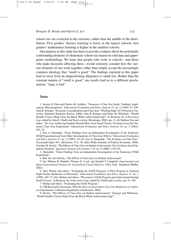school size are restricted to the extremes, rather than the middle of the distribution. First graders' literacy learning is lower in the largest schools; first graders' mathematics learning is higher in the smallest schools.

Our purpose in this study has been to provide evidence about the potentially confounding elements of elementary school size based on solid data and appropriate methodology. We hope that people who work in schools—and those who make decisions affecting them—would seriously consider how the various elements of size work together, rather than simply accept the increasingly common ideology that "small is good." The findings reported in this paper lead us away from an unquestioning allegiance to small size. Rather than the constant mantra of "small is good," our results lead us to a different proclamation: "large is bad."

### **Notes**

1. Jeremy D. Finn and Charles M. Achilles, "Tennessee's Class Size Study: Findings, Implications, Misconceptions," *Educational Evaluation and Policy Analysis* 21, no. 2 (1999): 97–109; Alan B. Krueger, "Economic Considerations and Class Size," Working Paper 447 (Princeton University, Industrial Relations Section, 2000); Alan B. Krueger and Diane M. Whitmore, "Would Smaller Classes Help Close the Black-White Achievement Gap?" in *Bridging the Achievement Gap*, edited by John E. Chubb and Tom Loveless (Brookings, 2002), pp. 11–46; Barbara Nye and others, "Do Low-Achieving Students Benefit More from Small Classes? Evidence from the Tennessee Class Size Experiment," *Educational Evaluation and Policy Analysis* 24, no. 3 (2002): 201–18.

2. Eric A. Hanushek, "Some Findings from an Independent Investigation of the Tennessee STAR Experiment and from Other Investigations of Class Size Effects," *Educational Evaluation and Policy Analysis* 21, no. 2 (1999): 143–63; Eric A. Hanushek, "The Evidence on Class Size," Occasional Paper 98-1 (Rochester, N.Y.: W. Allen Wallis Institute of Political Economy, 1998); Caroline M. Hoxby, "The Effects of Class Size on Student Achievement: New Evidence from Population Variation," *Quarterly Journal of Economics* 115, no. 4 (2000): 1239–85.

3. Hanushek, "Some Findings from an Independent Investigation of the Tennessee STAR Experiment."

4. Ibid*.* See also Hoxby, "The Effects of Class Size on Student Achievement."

5. See William R. Shadish, Thomas D. Cook, and Donald T. Campbell, *Experimental and Quasi-Experimental Designs for Generalized Causal Inference* (New York: Houghton Mifflin, 2002).

6. Alex Molnar and others, "Evaluating the SAGE Program: A Pilot Program in Targeted Pupil-Teacher Reduction in Wisconsin," *Educational Evaluation and Policy Analysis* 21, no. 2 (1999): 165–77; Alex Molnar and others, "Wisconsin's SAGE Program and Achievement through Small Classes," in *Bridging the Achievement Gap*, edited by Chubb and Loveless, pp. 91–108.

7. Molnar and others, "Evaluating the SAGE Program."

8. CSR Research Consortium, *What We Have Learned about Class Size Reduction in California* (Sacramento: California Department of Education, 2002).

9. Hoxby, "The Effects of Class Size on Student Achievement"; Krueger and Whitmore, "Would Smaller Classes Help Close the Black-White Achievement Gap?"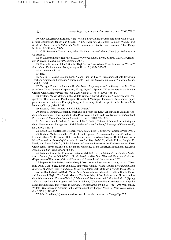10. CSR Research Consortium, *What We Have Learned about Class Size Reduction in California*; Christopher Jepsen and Steven Rivkin, *Class Size Reduction, Teacher Quality, and Academic Achievement in California Public Elementary Schools* (San Francisco: Public Policy Institute of California, 2002).

11. CSR Research Consortium, *What We Have Learned about Class Size Reduction in California*.

12. U.S. Department of Education, *A Descriptive Evaluation of the Federal Class-Size Reduction Program: Final Report* (Washington, 2004).

13. Valerie E. Lee and Julia B. Smith, "High School Size: Which Works Best and for Whom?" *Educational Evaluation and Policy Analysis* 19, no. 3 (1997): 205–27.

14. As we found in ibid*.*

15. Ibid.

16. Valerie E. Lee and Susanna Loeb, "School Size in Chicago Elementary Schools: Effects on Teachers'Attitudes and Students'Achievement," *American Educational Research Journal* 37, no. 1 (2000): 3–31.

17. Carnegie Council of America, *Turning Points: Preparing American Youth for the 21st Century* (New York: Carnegie Corporation, 1989); Joyce L. Epstein, "What Matters in the Middle Grades: Grade Span or Practices?" *Phi Delta Kappan* 71, no. 6 (1990): 438–44.

18. Epstein, "What Matters in the Middle Grades"; David Marshank, "From Teachers' Perspectives: The Social and Psychological Benefits of Multiage Elementary Classrooms," paper presented at the conference Emerging Images of Learning: World Perspectives for the New Millennium, Chicago, March 1994.

19. Epstein, "What Matters in the Middle Grades."

20. David T. Burkam, Deborah L. Michaels, and Valerie E. Lee, "School Grade Span and Academic Achievement: How Important Is the Presence of a First Grade to a Kindergartner's School Performance?" *Elementary School Journal* 107, no. 3 (2007): 287–303.

21. See, for example, Valerie E. Lee and Julia B. Smith, "Effects of School Restructuring on the Achievement and Engagement of Middle-Grade School Students," *Sociology of Education* 66, no. 3 (1993): 163–87.

22. Robert Barr and Rebecca Dreeben, *How Schools Work* (University of Chicago Press, 1983).

23. Burkam, Michaels, and Lee, "School Grade Span and Academic Achievement"; Valerie E. Lee and others, "Full-Day vs. Half-Day Kindergarten: In Which Program Do Children Learn More?" *American Journal of Education* 11, no. 2 (1996): 163–208; Valerie E. Lee, Douglas D. Ready, and Laura LoGerfo, "School Effects on Learning Rates over the Kindergarten and First-Grade Years," paper presented at the annual conference of the American Educational Research Association, San Francisco, April 2006.

24. National Center for Education Statistics (NCES), *Early Childhood Longitudinal Study: User's Manual for the ECLS-K First Grade Restricted-Use Data Files and Electronic Codebook* (Department of Education, Office of Educational Research and Improvement, 2002).

25. Stephen W. Raudenbush and Anthony S. Bryk, *Hierarchical Linear Models,* 2nd ed. (Thousand Oaks, Calif.: Sage, 2002); Judith D. Singer and John B. Willett, *Applied Longitudinal Data Analysis: Modeling Change and Event Occurrence* (New York: Oxford University Press, 2003).

26. See Raudenbush and Bryk, *Hierarchical Linear Models*; Michael H. Seltzer, Ken A. Frank, and Anthony S. Bryk, "The Metric Matters: The Sensitivity of Conclusions about Growth in Student Achievement to Choice of Metric," *Educational Evaluation and Policy Analysis* 16 (Spring 1994): 41–49; David R. Rogosa and John B. Willett, "Understanding Correlates of Change by Modeling Individual Differences in Growth," *Psychometrika* 50, no. 2 (1985): 203–08; John B. Willett, "Questions and Answers in the Measurement of Change," *Review of Research in Education* 5 (1988): 345–422.

27. John B. Willett, "Questions and Answers in the Measurement of Change," p. 377.